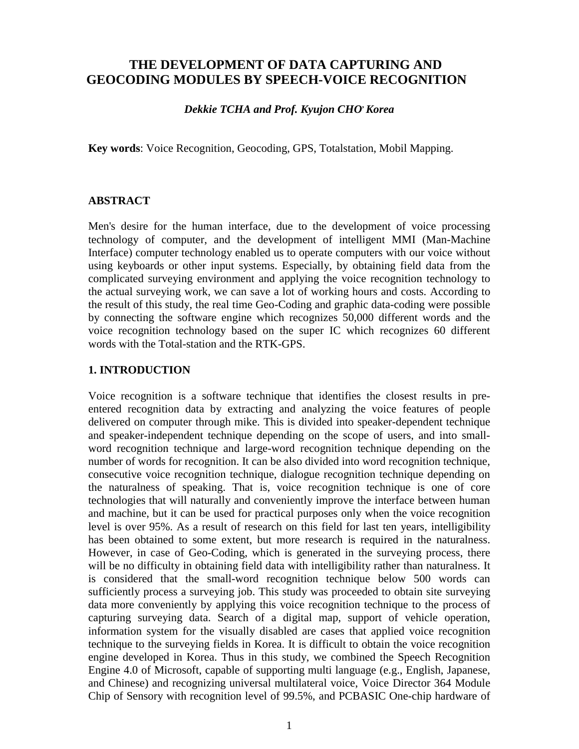# **THE DEVELOPMENT OF DATA CAPTURING AND GEOCODING MODULES BY SPEECH-VOICE RECOGNITION**

*Dekkie TCHA and Prof. Kyujon CHO***,** *Korea*

**Key words**: Voice Recognition, Geocoding, GPS, Totalstation, Mobil Mapping.

#### **ABSTRACT**

Men's desire for the human interface, due to the development of voice processing technology of computer, and the development of intelligent MMI (Man-Machine Interface) computer technology enabled us to operate computers with our voice without using keyboards or other input systems. Especially, by obtaining field data from the complicated surveying environment and applying the voice recognition technology to the actual surveying work, we can save a lot of working hours and costs. According to the result of this study, the real time Geo-Coding and graphic data-coding were possible by connecting the software engine which recognizes 50,000 different words and the voice recognition technology based on the super IC which recognizes 60 different words with the Total-station and the RTK-GPS.

#### **1. INTRODUCTION**

Voice recognition is a software technique that identifies the closest results in preentered recognition data by extracting and analyzing the voice features of people delivered on computer through mike. This is divided into speaker-dependent technique and speaker-independent technique depending on the scope of users, and into smallword recognition technique and large-word recognition technique depending on the number of words for recognition. It can be also divided into word recognition technique, consecutive voice recognition technique, dialogue recognition technique depending on the naturalness of speaking. That is, voice recognition technique is one of core technologies that will naturally and conveniently improve the interface between human and machine, but it can be used for practical purposes only when the voice recognition level is over 95%. As a result of research on this field for last ten years, intelligibility has been obtained to some extent, but more research is required in the naturalness. However, in case of Geo-Coding, which is generated in the surveying process, there will be no difficulty in obtaining field data with intelligibility rather than naturalness. It is considered that the small-word recognition technique below 500 words can sufficiently process a surveying job. This study was proceeded to obtain site surveying data more conveniently by applying this voice recognition technique to the process of capturing surveying data. Search of a digital map, support of vehicle operation, information system for the visually disabled are cases that applied voice recognition technique to the surveying fields in Korea. It is difficult to obtain the voice recognition engine developed in Korea. Thus in this study, we combined the Speech Recognition Engine 4.0 of Microsoft, capable of supporting multi language (e.g., English, Japanese, and Chinese) and recognizing universal multilateral voice, Voice Director 364 Module Chip of Sensory with recognition level of 99.5%, and PCBASIC One-chip hardware of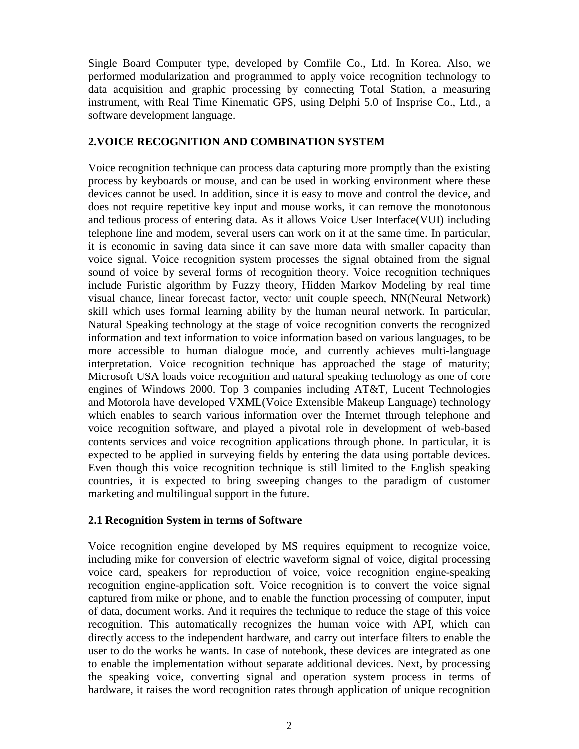Single Board Computer type, developed by Comfile Co., Ltd. In Korea. Also, we performed modularization and programmed to apply voice recognition technology to data acquisition and graphic processing by connecting Total Station, a measuring instrument, with Real Time Kinematic GPS, using Delphi 5.0 of Insprise Co., Ltd., a software development language.

#### **2.VOICE RECOGNITION AND COMBINATION SYSTEM**

Voice recognition technique can process data capturing more promptly than the existing process by keyboards or mouse, and can be used in working environment where these devices cannot be used. In addition, since it is easy to move and control the device, and does not require repetitive key input and mouse works, it can remove the monotonous and tedious process of entering data. As it allows Voice User Interface(VUI) including telephone line and modem, several users can work on it at the same time. In particular, it is economic in saving data since it can save more data with smaller capacity than voice signal. Voice recognition system processes the signal obtained from the signal sound of voice by several forms of recognition theory. Voice recognition techniques include Furistic algorithm by Fuzzy theory, Hidden Markov Modeling by real time visual chance, linear forecast factor, vector unit couple speech, NN(Neural Network) skill which uses formal learning ability by the human neural network. In particular, Natural Speaking technology at the stage of voice recognition converts the recognized information and text information to voice information based on various languages, to be more accessible to human dialogue mode, and currently achieves multi-language interpretation. Voice recognition technique has approached the stage of maturity; Microsoft USA loads voice recognition and natural speaking technology as one of core engines of Windows 2000. Top 3 companies including AT&T, Lucent Technologies and Motorola have developed VXML(Voice Extensible Makeup Language) technology which enables to search various information over the Internet through telephone and voice recognition software, and played a pivotal role in development of web-based contents services and voice recognition applications through phone. In particular, it is expected to be applied in surveying fields by entering the data using portable devices. Even though this voice recognition technique is still limited to the English speaking countries, it is expected to bring sweeping changes to the paradigm of customer marketing and multilingual support in the future.

#### **2.1 Recognition System in terms of Software**

Voice recognition engine developed by MS requires equipment to recognize voice, including mike for conversion of electric waveform signal of voice, digital processing voice card, speakers for reproduction of voice, voice recognition engine-speaking recognition engine-application soft. Voice recognition is to convert the voice signal captured from mike or phone, and to enable the function processing of computer, input of data, document works. And it requires the technique to reduce the stage of this voice recognition. This automatically recognizes the human voice with API, which can directly access to the independent hardware, and carry out interface filters to enable the user to do the works he wants. In case of notebook, these devices are integrated as one to enable the implementation without separate additional devices. Next, by processing the speaking voice, converting signal and operation system process in terms of hardware, it raises the word recognition rates through application of unique recognition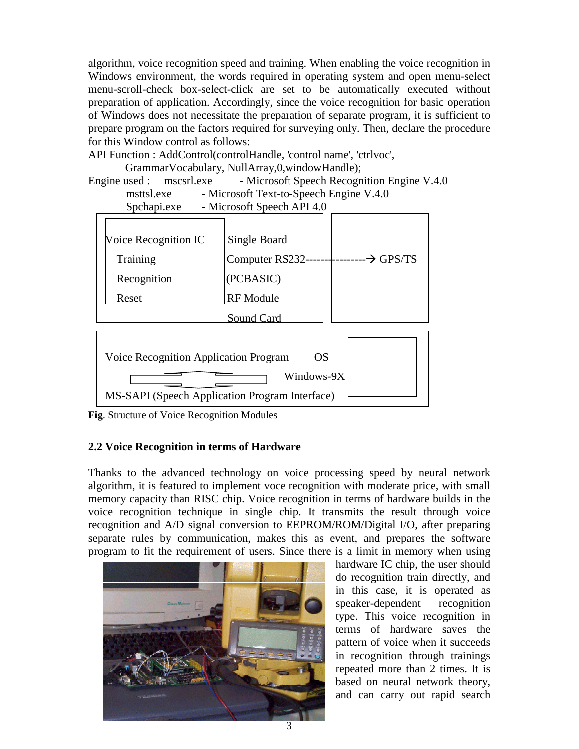algorithm, voice recognition speed and training. When enabling the voice recognition in Windows environment, the words required in operating system and open menu-select menu-scroll-check box-select-click are set to be automatically executed without preparation of application. Accordingly, since the voice recognition for basic operation of Windows does not necessitate the preparation of separate program, it is sufficient to prepare program on the factors required for surveying only. Then, declare the procedure for this Window control as follows:

API Function : AddControl(controlHandle, 'control name', 'ctrlvoc',

GrammarVocabulary, NullArray,0,windowHandle);

Engine used : mscsrl.exe - Microsoft Speech Recognition Engine V.4.0 msttsl.exe - Microsoft Text-to-Speech Engine V.4.0



**Fig**. Structure of Voice Recognition Modules

#### **2.2 Voice Recognition in terms of Hardware**

Thanks to the advanced technology on voice processing speed by neural network algorithm, it is featured to implement voce recognition with moderate price, with small memory capacity than RISC chip. Voice recognition in terms of hardware builds in the voice recognition technique in single chip. It transmits the result through voice recognition and A/D signal conversion to EEPROM/ROM/Digital I/O, after preparing separate rules by communication, makes this as event, and prepares the software program to fit the requirement of users. Since there is a limit in memory when using



hardware IC chip, the user should do recognition train directly, and in this case, it is operated as speaker-dependent recognition type. This voice recognition in terms of hardware saves the pattern of voice when it succeeds in recognition through trainings repeated more than 2 times. It is based on neural network theory, and can carry out rapid search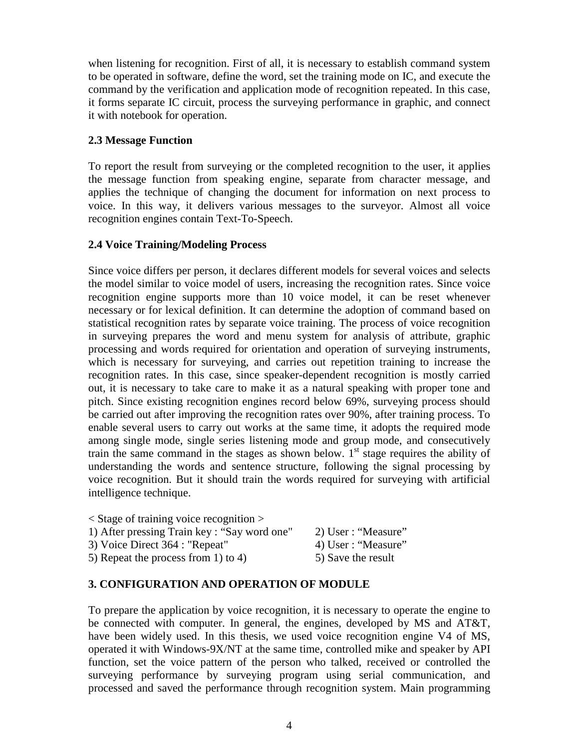when listening for recognition. First of all, it is necessary to establish command system to be operated in software, define the word, set the training mode on IC, and execute the command by the verification and application mode of recognition repeated. In this case, it forms separate IC circuit, process the surveying performance in graphic, and connect it with notebook for operation.

#### **2.3 Message Function**

To report the result from surveying or the completed recognition to the user, it applies the message function from speaking engine, separate from character message, and applies the technique of changing the document for information on next process to voice. In this way, it delivers various messages to the surveyor. Almost all voice recognition engines contain Text-To-Speech.

#### **2.4 Voice Training/Modeling Process**

Since voice differs per person, it declares different models for several voices and selects the model similar to voice model of users, increasing the recognition rates. Since voice recognition engine supports more than 10 voice model, it can be reset whenever necessary or for lexical definition. It can determine the adoption of command based on statistical recognition rates by separate voice training. The process of voice recognition in surveying prepares the word and menu system for analysis of attribute, graphic processing and words required for orientation and operation of surveying instruments, which is necessary for surveying, and carries out repetition training to increase the recognition rates. In this case, since speaker-dependent recognition is mostly carried out, it is necessary to take care to make it as a natural speaking with proper tone and pitch. Since existing recognition engines record below 69%, surveying process should be carried out after improving the recognition rates over 90%, after training process. To enable several users to carry out works at the same time, it adopts the required mode among single mode, single series listening mode and group mode, and consecutively train the same command in the stages as shown below.  $1<sup>st</sup>$  stage requires the ability of understanding the words and sentence structure, following the signal processing by voice recognition. But it should train the words required for surveying with artificial intelligence technique.

| $\le$ Stage of training voice recognition $>$ |                     |
|-----------------------------------------------|---------------------|
| 1) After pressing Train key: "Say word one"   | 2) User : "Measure" |
| 3) Voice Direct 364 : "Repeat"                | 4) User : "Measure" |
| 5) Repeat the process from 1) to 4)           | 5) Save the result  |

### **3. CONFIGURATION AND OPERATION OF MODULE**

To prepare the application by voice recognition, it is necessary to operate the engine to be connected with computer. In general, the engines, developed by MS and AT&T, have been widely used. In this thesis, we used voice recognition engine V4 of MS, operated it with Windows-9X/NT at the same time, controlled mike and speaker by API function, set the voice pattern of the person who talked, received or controlled the surveying performance by surveying program using serial communication, and processed and saved the performance through recognition system. Main programming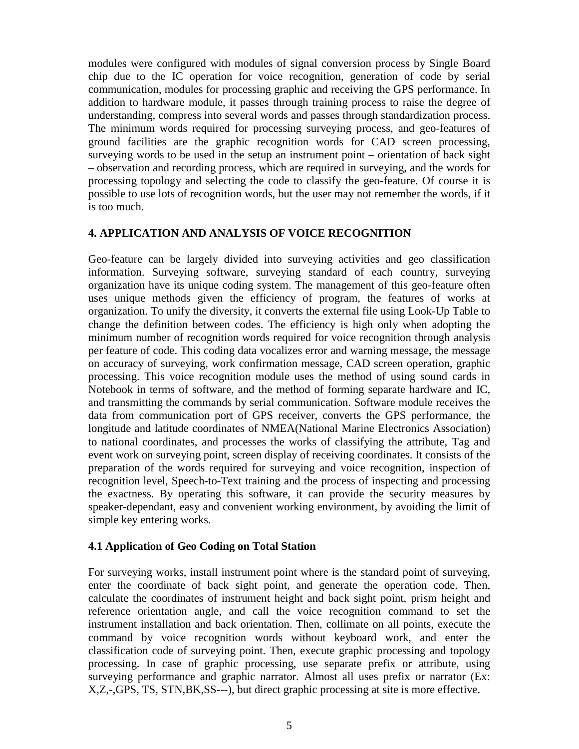modules were configured with modules of signal conversion process by Single Board chip due to the IC operation for voice recognition, generation of code by serial communication, modules for processing graphic and receiving the GPS performance. In addition to hardware module, it passes through training process to raise the degree of understanding, compress into several words and passes through standardization process. The minimum words required for processing surveying process, and geo-features of ground facilities are the graphic recognition words for CAD screen processing, surveying words to be used in the setup an instrument point – orientation of back sight – observation and recording process, which are required in surveying, and the words for processing topology and selecting the code to classify the geo-feature. Of course it is possible to use lots of recognition words, but the user may not remember the words, if it is too much.

#### **4. APPLICATION AND ANALYSIS OF VOICE RECOGNITION**

Geo-feature can be largely divided into surveying activities and geo classification information. Surveying software, surveying standard of each country, surveying organization have its unique coding system. The management of this geo-feature often uses unique methods given the efficiency of program, the features of works at organization. To unify the diversity, it converts the external file using Look-Up Table to change the definition between codes. The efficiency is high only when adopting the minimum number of recognition words required for voice recognition through analysis per feature of code. This coding data vocalizes error and warning message, the message on accuracy of surveying, work confirmation message, CAD screen operation, graphic processing. This voice recognition module uses the method of using sound cards in Notebook in terms of software, and the method of forming separate hardware and IC, and transmitting the commands by serial communication. Software module receives the data from communication port of GPS receiver, converts the GPS performance, the longitude and latitude coordinates of NMEA(National Marine Electronics Association) to national coordinates, and processes the works of classifying the attribute, Tag and event work on surveying point, screen display of receiving coordinates. It consists of the preparation of the words required for surveying and voice recognition, inspection of recognition level, Speech-to-Text training and the process of inspecting and processing the exactness. By operating this software, it can provide the security measures by speaker-dependant, easy and convenient working environment, by avoiding the limit of simple key entering works.

#### **4.1 Application of Geo Coding on Total Station**

For surveying works, install instrument point where is the standard point of surveying, enter the coordinate of back sight point, and generate the operation code. Then, calculate the coordinates of instrument height and back sight point, prism height and reference orientation angle, and call the voice recognition command to set the instrument installation and back orientation. Then, collimate on all points, execute the command by voice recognition words without keyboard work, and enter the classification code of surveying point. Then, execute graphic processing and topology processing. In case of graphic processing, use separate prefix or attribute, using surveying performance and graphic narrator. Almost all uses prefix or narrator (Ex: X,Z,-,GPS, TS, STN,BK,SS---), but direct graphic processing at site is more effective.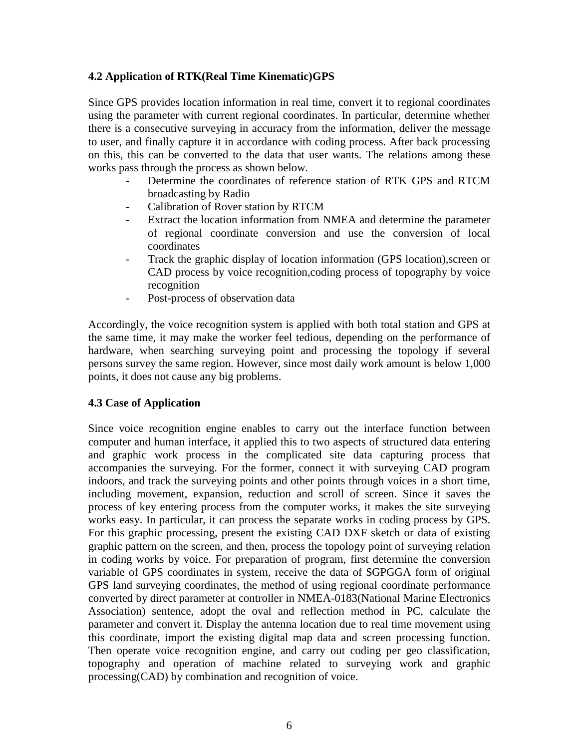#### **4.2 Application of RTK(Real Time Kinematic)GPS**

Since GPS provides location information in real time, convert it to regional coordinates using the parameter with current regional coordinates. In particular, determine whether there is a consecutive surveying in accuracy from the information, deliver the message to user, and finally capture it in accordance with coding process. After back processing on this, this can be converted to the data that user wants. The relations among these works pass through the process as shown below.

- Determine the coordinates of reference station of RTK GPS and RTCM broadcasting by Radio
- Calibration of Rover station by RTCM
- Extract the location information from NMEA and determine the parameter of regional coordinate conversion and use the conversion of local coordinates
- Track the graphic display of location information (GPS location), screen or CAD process by voice recognition,coding process of topography by voice recognition
- Post-process of observation data

Accordingly, the voice recognition system is applied with both total station and GPS at the same time, it may make the worker feel tedious, depending on the performance of hardware, when searching surveying point and processing the topology if several persons survey the same region. However, since most daily work amount is below 1,000 points, it does not cause any big problems.

#### **4.3 Case of Application**

Since voice recognition engine enables to carry out the interface function between computer and human interface, it applied this to two aspects of structured data entering and graphic work process in the complicated site data capturing process that accompanies the surveying. For the former, connect it with surveying CAD program indoors, and track the surveying points and other points through voices in a short time, including movement, expansion, reduction and scroll of screen. Since it saves the process of key entering process from the computer works, it makes the site surveying works easy. In particular, it can process the separate works in coding process by GPS. For this graphic processing, present the existing CAD DXF sketch or data of existing graphic pattern on the screen, and then, process the topology point of surveying relation in coding works by voice. For preparation of program, first determine the conversion variable of GPS coordinates in system, receive the data of \$GPGGA form of original GPS land surveying coordinates, the method of using regional coordinate performance converted by direct parameter at controller in NMEA-0183(National Marine Electronics Association) sentence, adopt the oval and reflection method in PC, calculate the parameter and convert it. Display the antenna location due to real time movement using this coordinate, import the existing digital map data and screen processing function. Then operate voice recognition engine, and carry out coding per geo classification, topography and operation of machine related to surveying work and graphic processing(CAD) by combination and recognition of voice.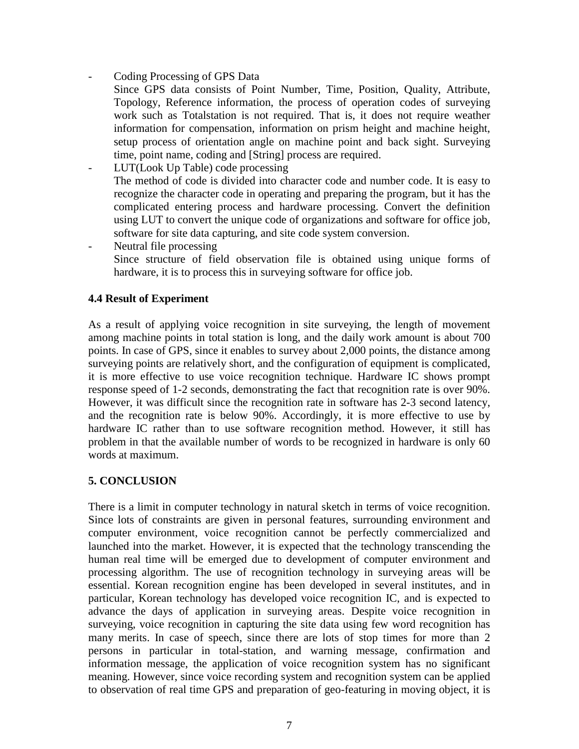Coding Processing of GPS Data

Since GPS data consists of Point Number, Time, Position, Quality, Attribute, Topology, Reference information, the process of operation codes of surveying work such as Totalstation is not required. That is, it does not require weather information for compensation, information on prism height and machine height, setup process of orientation angle on machine point and back sight. Surveying time, point name, coding and [String] process are required.

- LUT(Look Up Table) code processing The method of code is divided into character code and number code. It is easy to recognize the character code in operating and preparing the program, but it has the complicated entering process and hardware processing. Convert the definition using LUT to convert the unique code of organizations and software for office job, software for site data capturing, and site code system conversion.

- Neutral file processing Since structure of field observation file is obtained using unique forms of hardware, it is to process this in surveying software for office job.

#### **4.4 Result of Experiment**

As a result of applying voice recognition in site surveying, the length of movement among machine points in total station is long, and the daily work amount is about 700 points. In case of GPS, since it enables to survey about 2,000 points, the distance among surveying points are relatively short, and the configuration of equipment is complicated, it is more effective to use voice recognition technique. Hardware IC shows prompt response speed of 1-2 seconds, demonstrating the fact that recognition rate is over 90%. However, it was difficult since the recognition rate in software has 2-3 second latency, and the recognition rate is below 90%. Accordingly, it is more effective to use by hardware IC rather than to use software recognition method. However, it still has problem in that the available number of words to be recognized in hardware is only 60 words at maximum.

### **5. CONCLUSION**

There is a limit in computer technology in natural sketch in terms of voice recognition. Since lots of constraints are given in personal features, surrounding environment and computer environment, voice recognition cannot be perfectly commercialized and launched into the market. However, it is expected that the technology transcending the human real time will be emerged due to development of computer environment and processing algorithm. The use of recognition technology in surveying areas will be essential. Korean recognition engine has been developed in several institutes, and in particular, Korean technology has developed voice recognition IC, and is expected to advance the days of application in surveying areas. Despite voice recognition in surveying, voice recognition in capturing the site data using few word recognition has many merits. In case of speech, since there are lots of stop times for more than 2 persons in particular in total-station, and warning message, confirmation and information message, the application of voice recognition system has no significant meaning. However, since voice recording system and recognition system can be applied to observation of real time GPS and preparation of geo-featuring in moving object, it is